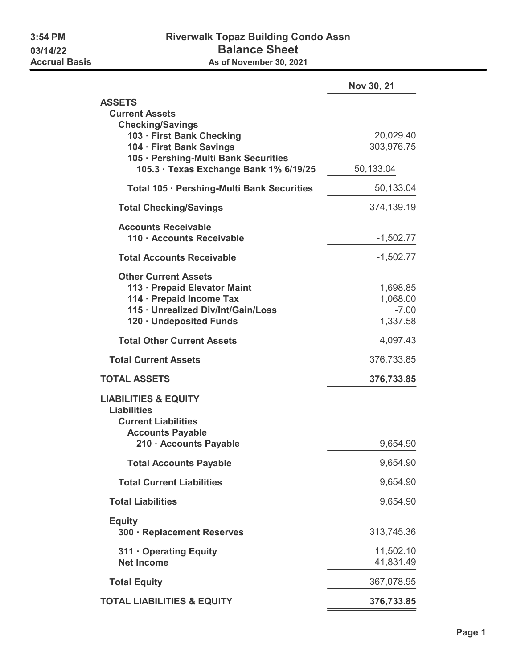|                                                                                | Nov 30, 21           |
|--------------------------------------------------------------------------------|----------------------|
| <b>ASSETS</b>                                                                  |                      |
| <b>Current Assets</b>                                                          |                      |
| <b>Checking/Savings</b><br>103 · First Bank Checking                           | 20,029.40            |
| 104 · First Bank Savings                                                       | 303,976.75           |
| 105 · Pershing-Multi Bank Securities<br>105.3 · Texas Exchange Bank 1% 6/19/25 | 50,133.04            |
| Total 105 · Pershing-Multi Bank Securities                                     | 50,133.04            |
| <b>Total Checking/Savings</b>                                                  | 374,139.19           |
| <b>Accounts Receivable</b>                                                     |                      |
| 110 · Accounts Receivable                                                      | $-1,502.77$          |
| <b>Total Accounts Receivable</b>                                               | $-1,502.77$          |
| <b>Other Current Assets</b>                                                    |                      |
| 113 · Prepaid Elevator Maint<br>114 · Prepaid Income Tax                       | 1,698.85<br>1,068.00 |
| 115 · Unrealized Div/Int/Gain/Loss                                             | $-7.00$              |
| 120 · Undeposited Funds                                                        | 1,337.58             |
| <b>Total Other Current Assets</b>                                              | 4,097.43             |
| <b>Total Current Assets</b>                                                    | 376,733.85           |
| <b>TOTAL ASSETS</b>                                                            | 376,733.85           |
| <b>LIABILITIES &amp; EQUITY</b>                                                |                      |
| <b>Liabilities</b><br><b>Current Liabilities</b>                               |                      |
| <b>Accounts Payable</b>                                                        |                      |
| 210 · Accounts Payable                                                         | 9,654.90             |
| <b>Total Accounts Payable</b>                                                  | 9,654.90             |
| <b>Total Current Liabilities</b>                                               | 9,654.90             |
| <b>Total Liabilities</b>                                                       | 9,654.90             |
| <b>Equity</b><br>300 · Replacement Reserves                                    | 313,745.36           |
| 311 Operating Equity                                                           | 11,502.10            |
| <b>Net Income</b>                                                              | 41,831.49            |
| <b>Total Equity</b>                                                            | 367,078.95           |
| <b>TOTAL LIABILITIES &amp; EQUITY</b>                                          | 376,733.85           |